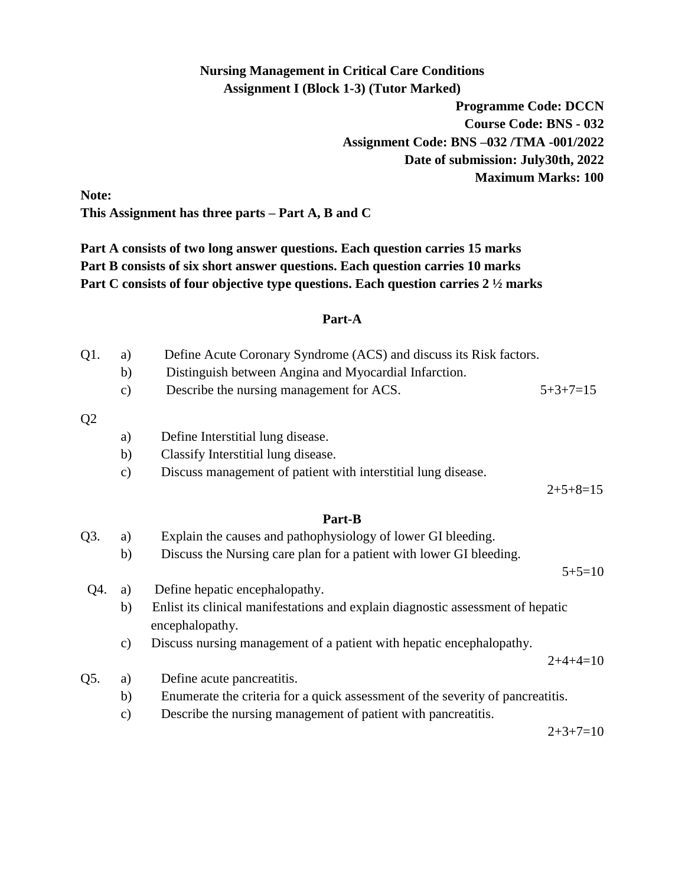# **Nursing Management in Critical Care Conditions Assignment I (Block 1-3) (Tutor Marked)**

**Programme Code: DCCN Course Code: BNS - 032 Assignment Code: BNS –032 /TMA -001/2022 Date of submission: July30th, 2022 Maximum Marks: 100**

**Note: This Assignment has three parts – Part A, B and C**

**Part A consists of two long answer questions. Each question carries 15 marks Part B consists of six short answer questions. Each question carries 10 marks Part C consists of four objective type questions. Each question carries 2 ½ marks** 

## **Part-A**

| Q1.            | a)            | Define Acute Coronary Syndrome (ACS) and discuss its Risk factors.                                 |            |
|----------------|---------------|----------------------------------------------------------------------------------------------------|------------|
|                | b)            | Distinguish between Angina and Myocardial Infarction.                                              |            |
|                | $\mathbf{c})$ | Describe the nursing management for ACS.                                                           | $5+3+7=15$ |
| Q <sub>2</sub> |               |                                                                                                    |            |
|                | a)            | Define Interstitial lung disease.                                                                  |            |
|                | b)            | Classify Interstitial lung disease.                                                                |            |
|                | $\mathbf{c})$ | Discuss management of patient with interstitial lung disease.                                      |            |
|                |               |                                                                                                    | $2+5+8=15$ |
|                |               | Part-B                                                                                             |            |
| Q3.            | a)            | Explain the causes and pathophysiology of lower GI bleeding.                                       |            |
|                | b)            | Discuss the Nursing care plan for a patient with lower GI bleeding.                                |            |
|                |               |                                                                                                    | $5+5=10$   |
| Q4.            | a)            | Define hepatic encephalopathy.                                                                     |            |
|                | b)            | Enlist its clinical manifestations and explain diagnostic assessment of hepatic<br>encephalopathy. |            |
|                | $\mathbf{c})$ | Discuss nursing management of a patient with hepatic encephalopathy.                               | $2+4+4=10$ |
| Q5.            | a)            | Define acute pancreatitis.                                                                         |            |
|                | b)            | Enumerate the criteria for a quick assessment of the severity of pancreatitis.                     |            |
|                | $\mathbf{c})$ | Describe the nursing management of patient with pancreatitis.                                      |            |
|                |               |                                                                                                    | $2+3+7=10$ |
|                |               |                                                                                                    |            |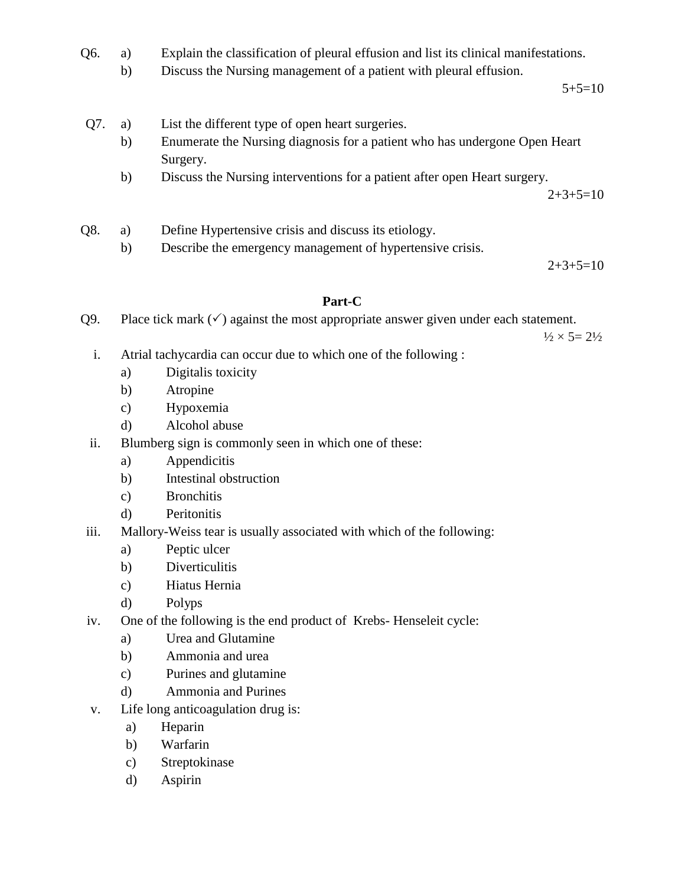- Q6. a) Explain the classification of pleural effusion and list its clinical manifestations.
	- b) Discuss the Nursing management of a patient with pleural effusion.

 $5+5=10$ 

- Q7. a) List the different type of open heart surgeries.
	- b) Enumerate the Nursing diagnosis for a patient who has undergone Open Heart Surgery.
	- b) Discuss the Nursing interventions for a patient after open Heart surgery.

 $2+3+5=10$ 

- Q8. a) Define Hypertensive crisis and discuss its etiology.
	- b) Describe the emergency management of hypertensive crisis.

 $2+3+5=10$ 

### **Part-C**

Q9. Place tick mark  $(\checkmark)$  against the most appropriate answer given under each statement.

 $\frac{1}{2} \times 5 = 2\frac{1}{2}$ 

- i. Atrial tachycardia can occur due to which one of the following :
	- a) Digitalis toxicity
	- b) Atropine
	- c) Hypoxemia
	- d) Alcohol abuse
- ii. Blumberg sign is commonly seen in which one of these:
	- a) Appendicitis
	- b) Intestinal obstruction
	- c) Bronchitis
	- d) Peritonitis
- iii. Mallory-Weiss tear is usually associated with which of the following:
	- a) Peptic ulcer
	- b) Diverticulitis
	- c) Hiatus Hernia
	- d) Polyps
- iv. One of the following is the end product of Krebs- Henseleit cycle:
	- a) Urea and Glutamine
	- b) Ammonia and urea
	- c) Purines and glutamine
	- d) Ammonia and Purines
- v. Life long anticoagulation drug is:
	- a) Heparin
	- b) Warfarin
	- c) Streptokinase
	- d) Aspirin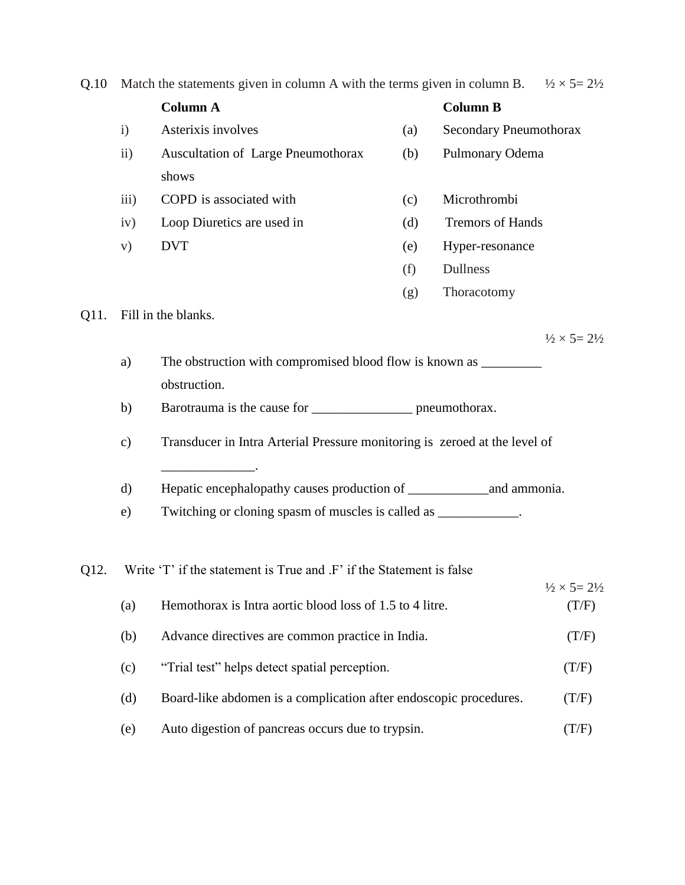| Q.10                                                                                                                                                                                                                        | Match the statements given in column A with the terms given in column B. $\frac{1}{2} \times 5 = 2\frac{1}{2}$ |                                                                                   |     |                               |                                       |
|-----------------------------------------------------------------------------------------------------------------------------------------------------------------------------------------------------------------------------|----------------------------------------------------------------------------------------------------------------|-----------------------------------------------------------------------------------|-----|-------------------------------|---------------------------------------|
|                                                                                                                                                                                                                             |                                                                                                                | <b>Column A</b>                                                                   |     | <b>Column B</b>               |                                       |
|                                                                                                                                                                                                                             | $\mathbf{i}$                                                                                                   | Asterixis involves                                                                | (a) | <b>Secondary Pneumothorax</b> |                                       |
|                                                                                                                                                                                                                             | $\rm ii)$                                                                                                      | <b>Auscultation of Large Pneumothorax</b>                                         | (b) | Pulmonary Odema               |                                       |
|                                                                                                                                                                                                                             |                                                                                                                | shows                                                                             |     |                               |                                       |
|                                                                                                                                                                                                                             | iii)                                                                                                           | COPD is associated with                                                           | (c) | Microthrombi                  |                                       |
|                                                                                                                                                                                                                             | iv)                                                                                                            | Loop Diuretics are used in                                                        | (d) | <b>Tremors of Hands</b>       |                                       |
|                                                                                                                                                                                                                             | V)                                                                                                             | <b>DVT</b>                                                                        | (e) | Hyper-resonance               |                                       |
|                                                                                                                                                                                                                             |                                                                                                                |                                                                                   | (f) | Dullness                      |                                       |
|                                                                                                                                                                                                                             |                                                                                                                |                                                                                   | (g) | Thoracotomy                   |                                       |
| Q11.                                                                                                                                                                                                                        |                                                                                                                | Fill in the blanks.                                                               |     |                               |                                       |
|                                                                                                                                                                                                                             |                                                                                                                |                                                                                   |     |                               | $\frac{1}{2} \times 5 = 2\frac{1}{2}$ |
|                                                                                                                                                                                                                             | a)                                                                                                             | The obstruction with compromised blood flow is known as _________________________ |     |                               |                                       |
| obstruction.                                                                                                                                                                                                                |                                                                                                                |                                                                                   |     |                               |                                       |
|                                                                                                                                                                                                                             | b)                                                                                                             | Barotrauma is the cause for _____________________ pneumothorax.                   |     |                               |                                       |
| Transducer in Intra Arterial Pressure monitoring is zeroed at the level of<br>$\mathbf{c})$<br>the control of the control of the control of<br>d)<br>Twitching or cloning spasm of muscles is called as ____________.<br>e) |                                                                                                                |                                                                                   |     |                               |                                       |
|                                                                                                                                                                                                                             |                                                                                                                |                                                                                   |     |                               |                                       |
|                                                                                                                                                                                                                             |                                                                                                                |                                                                                   |     |                               |                                       |
|                                                                                                                                                                                                                             |                                                                                                                |                                                                                   |     |                               |                                       |
|                                                                                                                                                                                                                             |                                                                                                                |                                                                                   |     |                               |                                       |
| Q12.                                                                                                                                                                                                                        |                                                                                                                | Write 'T' if the statement is True and .F' if the Statement is false              |     |                               |                                       |
|                                                                                                                                                                                                                             |                                                                                                                |                                                                                   |     |                               | $\frac{1}{2} \times 5 = 2\frac{1}{2}$ |
|                                                                                                                                                                                                                             | (a)                                                                                                            | Hemothorax is Intra aortic blood loss of 1.5 to 4 litre.                          |     |                               | (T/F)                                 |
|                                                                                                                                                                                                                             | (b)                                                                                                            | Advance directives are common practice in India.                                  |     |                               | (T/F)                                 |
|                                                                                                                                                                                                                             | (c)                                                                                                            | "Trial test" helps detect spatial perception.                                     |     |                               | (T/F)                                 |
| (d)<br>Board-like abdomen is a complication after endoscopic procedures.                                                                                                                                                    |                                                                                                                |                                                                                   |     |                               | (T/F)                                 |
|                                                                                                                                                                                                                             | (e)                                                                                                            | Auto digestion of pancreas occurs due to trypsin.                                 |     |                               | (T/F)                                 |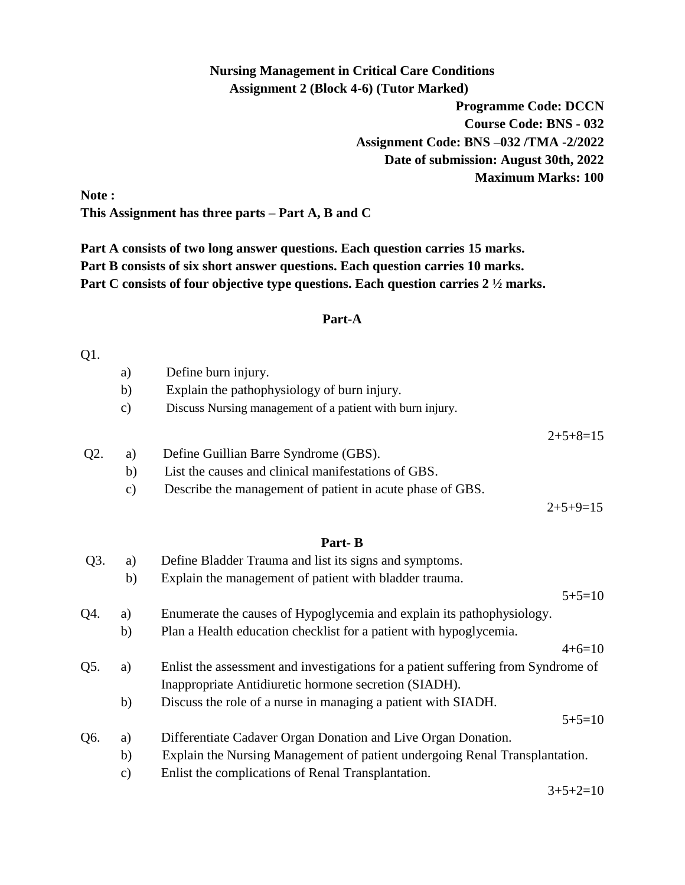## **Nursing Management in Critical Care Conditions Assignment 2 (Block 4-6) (Tutor Marked)**

**Programme Code: DCCN Course Code: BNS - 032 Assignment Code: BNS –032 /TMA -2/2022 Date of submission: August 30th, 2022 Maximum Marks: 100**

**Note : This Assignment has three parts – Part A, B and C**

**Part A consists of two long answer questions. Each question carries 15 marks. Part B consists of six short answer questions. Each question carries 10 marks. Part C consists of four objective type questions. Each question carries 2 ½ marks.**

#### **Part-A**

#### Q1.

|     | a)            | Define burn injury.                                       |            |
|-----|---------------|-----------------------------------------------------------|------------|
|     | b)            | Explain the pathophysiology of burn injury.               |            |
|     | $\mathbf{c})$ | Discuss Nursing management of a patient with burn injury. |            |
|     |               |                                                           | $2+5+8=15$ |
| Q2. | a)            | Define Guillian Barre Syndrome (GBS).                     |            |
|     | b)            | List the causes and clinical manifestations of GBS.       |            |
|     | $\mathbf{c})$ | Describe the management of patient in acute phase of GBS. |            |
|     |               |                                                           | $2+5+9=15$ |
|     |               |                                                           |            |

## **Part- B**

| $Q3$ . | a)            | Define Bladder Trauma and list its signs and symptoms.                            |                                     |
|--------|---------------|-----------------------------------------------------------------------------------|-------------------------------------|
|        | b)            | Explain the management of patient with bladder trauma.                            |                                     |
|        |               |                                                                                   | $5+5=10$                            |
| Q4.    | a)            | Enumerate the causes of Hypoglycemia and explain its pathophysiology.             |                                     |
|        | b)            | Plan a Health education checklist for a patient with hypoglycemia.                |                                     |
|        |               |                                                                                   | $4+6=10$                            |
| Q5.    | a)            | Enlist the assessment and investigations for a patient suffering from Syndrome of |                                     |
|        |               | Inappropriate Antidiuretic hormone secretion (SIADH).                             |                                     |
|        | b)            | Discuss the role of a nurse in managing a patient with SIADH.                     |                                     |
|        |               |                                                                                   | $5+5=10$                            |
| Q6.    | a)            | Differentiate Cadaver Organ Donation and Live Organ Donation.                     |                                     |
|        | b)            | Explain the Nursing Management of patient undergoing Renal Transplantation.       |                                     |
|        | $\mathbf{c})$ | Enlist the complications of Renal Transplantation.                                |                                     |
|        |               |                                                                                   | $\Omega$ $\Gamma$ $\Omega$ $\Omega$ |

 $3+5+2=10$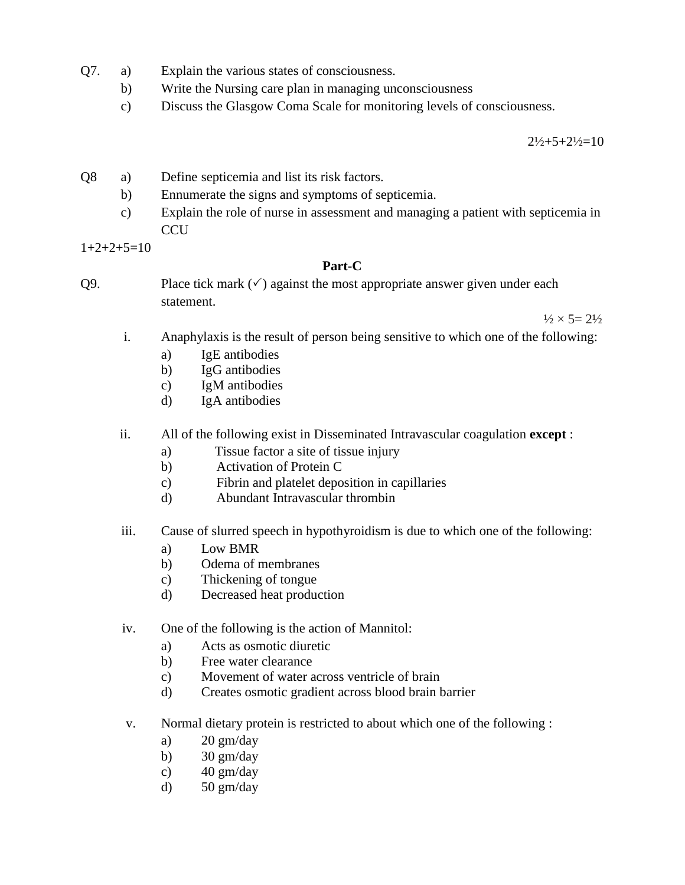- Q7. a) Explain the various states of consciousness.
	- b) Write the Nursing care plan in managing unconsciousness
	- c) Discuss the Glasgow Coma Scale for monitoring levels of consciousness.

 $2\frac{1}{2} + 5 + 2\frac{1}{2} = 10$ 

- Q8 a) Define septicemia and list its risk factors.
	- b) Ennumerate the signs and symptoms of septicemia.
	- c) Explain the role of nurse in assessment and managing a patient with septicemia in **CCU**

 $1+2+2+5=10$ 

### **Part-C**

Q9. Place tick mark  $(\checkmark)$  against the most appropriate answer given under each statement.

 $\frac{1}{2} \times 5 = 2\frac{1}{2}$ 

- i. Anaphylaxis is the result of person being sensitive to which one of the following:
	- a) IgE antibodies
	- b) IgG antibodies
	- c) IgM antibodies
	- d) IgA antibodies
- ii. All of the following exist in Disseminated Intravascular coagulation **except** :
	- a) Tissue factor a site of tissue injury
	- b) Activation of Protein C
	- c) Fibrin and platelet deposition in capillaries
	- d) Abundant Intravascular thrombin
- iii. Cause of slurred speech in hypothyroidism is due to which one of the following:
	- a) Low BMR
	- b) Odema of membranes
	- c) Thickening of tongue
	- d) Decreased heat production
- iv. One of the following is the action of Mannitol:
	- a) Acts as osmotic diuretic
	- b) Free water clearance
	- c) Movement of water across ventricle of brain
	- d) Creates osmotic gradient across blood brain barrier
- v. Normal dietary protein is restricted to about which one of the following :
	- a)  $20 \text{ gm/day}$
	- b)  $30 \text{ gm/day}$
	- c)  $40 \text{ gm/day}$
	- d)  $50 \text{ gm/day}$